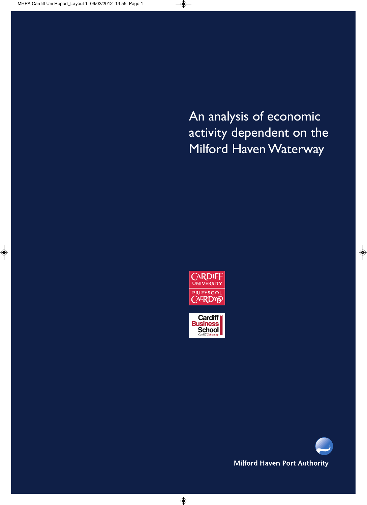An analysis of economic activity dependent on the Milford Haven Waterway





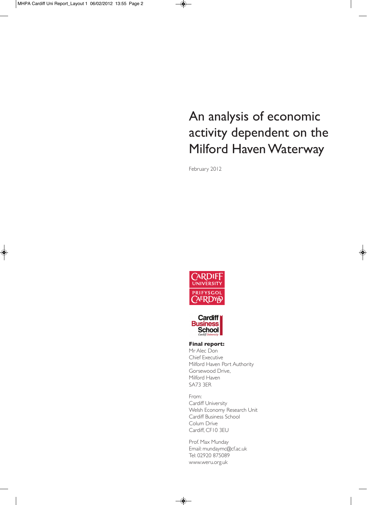# An analysis of economic activity dependent on the Milford Haven Waterway

February 2012





#### **Final report:**

Mr Alec Don Chief Executive Milford Haven Port Authority Gorsewood Drive, Milford Haven SA73 3ER

From: Cardiff University Welsh Economy Research Unit Cardiff Business School Colum Drive Cardiff, CF10 3EU

Prof. Max Munday Email: mundaymc@cf.ac.uk Tel: 02920 875089 www.weru.org.uk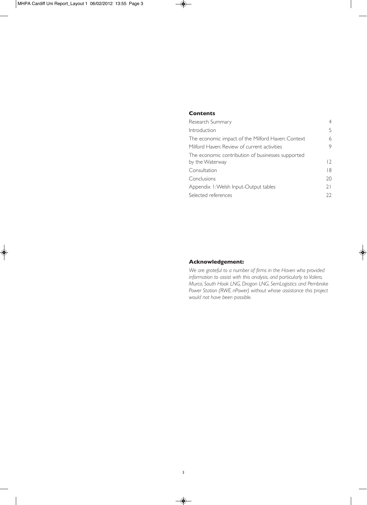## **Contents**

| Research Summary                                  | 4              |
|---------------------------------------------------|----------------|
| Introduction                                      | 5              |
| The economic impact of the Milford Haven: Context | 6              |
| Milford Haven: Review of current activities       | 9              |
| The economic contribution of businesses supported |                |
| by the Waterway                                   | $\overline{2}$ |
| Consultation                                      | 18             |
| Conclusions                                       | 20             |
| Appendix 1: Welsh Input-Output tables             | 21             |
| Selected references                               | 22             |

## **Acknowledgement:**

*We are grateful to a number of firms in the Haven who provided information to assist with this analysis, and particularly to Valero, Murco, South Hook LNG, Dragon LNG, SemLogistics and Pembroke Power Station (RWE nPower) without whose assistance this project would not have been possible.*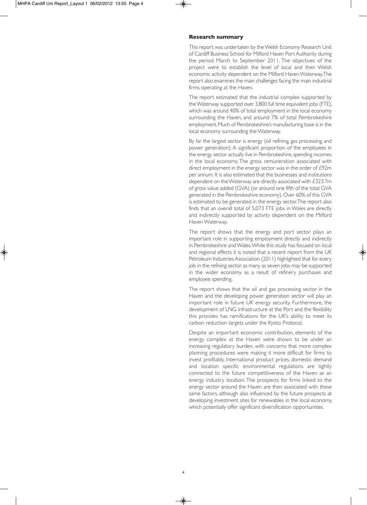#### **Research summary**

This report was undertaken by the Welsh Economy Research Unit of Cardiff Business School for Milford Haven Port Authority during the period March to September 2011. The objectives of the project were to establish the level of local and then Welsh economic activity dependent on the Milford Haven Waterway. The report also examines the main challenges facing the main industrial firms operating at the Haven.

The report estimated that the industrial complex supported by the Waterway supported over 3,800 full time equivalent jobs (FTE), which was around 40% of total employment in the local economy surrounding the Haven, and around 7% of total Pembrokeshire employment. Much of Pembrokeshire's manufacturing base is in the local economy surrounding the Waterway.

By far the largest sector is energy (oil refining, gas processing and power generation). A significant proportion of the employees in the energy sector actually live in Pembrokeshire, spending incomes in the local economy. The gross remuneration associated with direct employment in the energy sector was in the order of £92m per annum. It is also estimated that the businesses and institutions dependent on the Waterway are directly associated with £323.7m of gross value added (GVA) (or around one fifth of the total GVA generated in the Pembrokeshire economy). Over 60% of this GVA is estimated to be generated in the energy sector. The report also finds that an overall total of 5,073 FTE jobs in Wales are directly and indirectly supported by activity dependent on the Milford Haven Waterway.

The report shows that the energy and port sector plays an important role in supporting employment directly and indirectly in Pembrokeshire and Wales. While this study has focused on local and regional effects it is noted that a recent report from the UK Petroleum Industries Association (2011) highlighted that for every job in the refining sector as many as seven jobs may be supported in the wider economy as a result of refinery purchases and employee spending.

The report shows that the oil and gas processing sector in the Haven and the developing power generation sector will play an important role in future UK energy security. Furthermore, the development of LNG infrastructure at the Port and the flexibility this provides has ramifications for the UK's ability to meet its carbon reduction targets under the Kyoto Protocol.

Despite an important economic contribution, elements of the energy complex at the Haven were shown to be under an increasing regulatory burden, with concerns that more complex planning procedures were making it more difficult for firms to invest profitably. International product prices, domestic demand and location specific environmental regulations are tightly connected to the future competitiveness of the Haven as an energy industry location. The prospects for firms linked to the energy sector around the Haven are then associated with these same factors, although also influenced by the future prospects at developing investment sites for renewables in the local economy, which potentially offer significant diversification opportunities.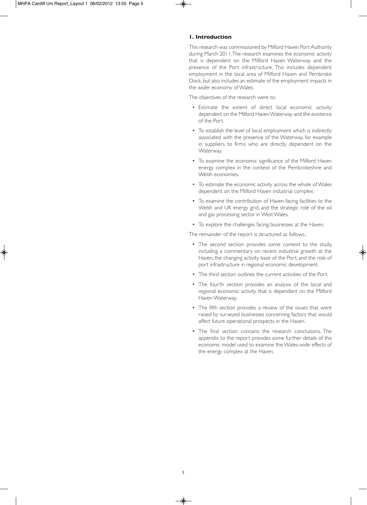## **1. Introduction**

This research was commissioned by Milford Haven Port Authority during March 2011. The research examines the economic activity that is dependent on the Milford Haven Waterway and the presence of the Port infrastructure. This includes dependent employment in the local area of Milford Haven and Pembroke Dock, but also includes an estimate of the employment impacts in the wider economy of Wales.

The objectives of the research were to:

- Estimate the extent of direct local economic activity dependent on the Milford Haven Waterway and the existence of the Port.
- To establish the level of local employment which is indirectly associated with the presence of the Waterway, for example in suppliers to firms who are directly dependent on the Waterway.
- To examine the economic significance of the Milford Haven energy complex in the context of the Pembrokeshire and Welsh economies.
- To estimate the economic activity across the whole of Wales dependent on the Milford Haven industrial complex.
- To examine the contribution of Haven-facing facilities to the Welsh and UK energy grid, and the strategic role of the oil and gas processing sector in West Wales.
- To explore the challenges facing businesses at the Haven.

The remainder of the report is structured as follows.:

- The second section provides some context to the study, including a commentary on recent industrial growth at the Haven; the changing activity base of the Port; and the role of port infrastructure in regional economic development.
- The third section outlines the current activities of the Port.
- The fourth section provides an analysis of the local and regional economic activity that is dependent on the Milford Haven Waterway.
- The fifth section provides a review of the issues that were raised by surveyed businesses concerning factors that would affect future operational prospects in the Haven.
- The final section contains the research conclusions. The appendix to the report provides some further details of the economic model used to examine the Wales-wide effects of the energy complex at the Haven.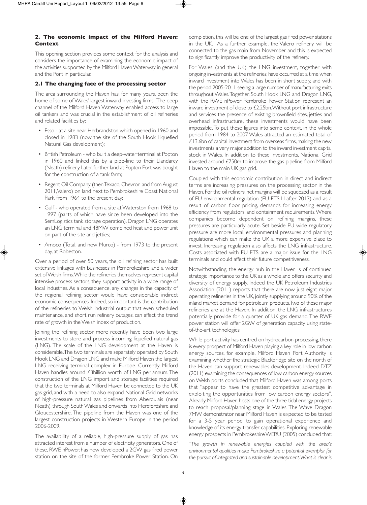## **2. The economic impact of the Milford Haven: Context**

This opening section provides some context for the analysis and considers the importance of examining the economic impact of the activities supported by the Milford Haven Waterway in general and the Port in particular.

## **2.1 The changing face of the processing sector**

The area surrounding the Haven has, for many years, been the home of some of Wales' largest inward investing firms. The deep channel of the Milford Haven Waterway enabled access to large oil tankers and was crucial in the establishment of oil refineries and related facilities by:

- Esso at a site near Herbrandston which opened in 1960 and closed in 1983 (now the site of the South Hook Liquefied Natural Gas development);
- British Petroleum who built a deep-water terminal at Popton in 1960 and linked this by a pipe-line to their Llandarcy (Neath) refinery. Later, further land at Popton Fort was bought for the construction of a tank farm;
- Regent Oil Company (then Texaco, Chevron and from August 2011, Valero) on land next to Pembrokeshire Coast National Park, from 1964 to the present day;
- Gulf who operated from a site at Waterston from 1968 to 1997 (parts of which have since been developed into the SemLogistics tank storage operation). Dragon LNG operates an LNG terminal and 48MW combined heat and power unit on part of the site and jetties;
- Amoco (Total, and now Murco) from 1973 to the present day, at Robeston.

Over a period of over 50 years, the oil refining sector has built extensive linkages with businesses in Pembrokeshire and a wider set of Welsh firms. While the refineries themselves represent capital intensive process sectors, they support activity in a wide range of local industries. As a consequence, any changes in the capacity of the regional refining sector would have considerable indirect economic consequences. Indeed, so important is the contribution of the refineries to Welsh industrial output that even scheduled maintenance, and short run refinery outages, can affect the trend rate of growth in the Welsh index of production.

Joining the refining sector more recently have been two large investments to store and process incoming liquefied natural gas (LNG). The scale of the LNG development at the Haven is considerable. The two terminals are separately operated by South Hook LNG and Dragon LNG and make Milford Haven the largest LNG receiving terminal complex in Europe. Currently Milford Haven handles around £3billion worth of LNG per annum. The construction of the LNG import and storage facilities required that the two terminals at Milford Haven be connected to the UK gas grid, and with a need to also expand National Grid networks of high-pressure natural gas pipelines from Aberdulais (near Neath), through South Wales and onwards into Herefordshire and Gloucestershire. The pipeline from the Haven was one of the largest construction projects in Western Europe in the period 2006-2009.

The availability of a reliable, high-pressure supply of gas has attracted interest from a number of electricity generators. One of these, RWE nPower, has now developed a 2GW gas fired power station on the site of the former Pembroke Power Station. On

completion, this will be one of the largest gas fired power stations in the UK. As a further example, the Valero refinery will be connected to the gas main from November and this is expected to significantly improve the productivity of the refinery.

For Wales (and the UK) the LNG investment, together with ongoing investments at the refineries, have occurred at a time when inward investment into Wales has been in short supply, and with the period 2005-2011 seeing a large number of manufacturing exits throughout Wales. Together, South Hook LNG and Dragon LNG, with the RWE nPower Pembroke Power Station represent an inward investment of close to £2.25bn. Without port infrastructure and services the presence of existing brownfield sites, jetties and overhead infrastructure, these investments would have been impossible. To put these figures into some context, in the whole period from 1984 to 2007 Wales attracted an estimated total of £13.6bn of capital investment from overseas firms, making the new investments a very major addition to the inward investment capital stock in Wales. In addition to these investments, National Grid invested around £750m to improve the gas pipeline from Milford Haven to the main UK gas grid.

Coupled with this economic contribution in direct and indirect terms are increasing pressures on the processing sector in the Haven. For the oil refiners, net margins will be squeezed as a result of EU environmental regulation (EU ETS III after 2013) and as a result of carbon floor pricing, demands for increasing energy efficiency from regulators, and containment requirements. Where companies become dependent on refining margins, these pressures are particularly acute. Set beside EU wide regulatory pressure are more local, environmental pressures and planning regulations which can make the UK a more expensive place to invest. Increasing regulation also affects the LNG infrastructure. Costs associated with EU ETS are a major issue for the LNG terminals and could affect their future competitiveness.

Notwithstanding, the energy hub in the Haven is of continued strategic importance to the UK as a whole and offers security and diversity of energy supply. Indeed the UK Petroleum Industries Association (2011) reports that there are now just eight major operating refineries in the UK, jointly supplying around 90% of the inland market demand for petroleum products. Two of these major refineries are at the Haven. In addition, the LNG infrastructures potentially provide for a quarter of UK gas demand. The RWE power station will offer 2GW of generation capacity using stateof-the-art technologies.

While port activity has centred on hydrocarbon processing, there is every prospect of Milford Haven playing a key role in low carbon energy sources, for example, Milford Haven Port Authority is examining whether the strategic Blackbridge site on the north of the Haven can support renewables development. Indeed DTZ (2011) examining the consequences of low carbon energy sources on Welsh ports concluded that Milford Haven was among ports that "appear to have the greatest competitive advantage in exploiting the opportunities from low carbon energy sectors". Already Milford Haven hosts one of the three tidal energy projects to reach proposal/planning stage in Wales. The Wave Dragon 7MW demonstrator near Milford Haven is expected to be tested for a 3-5 year period to gain operational experience and knowledge of its energy transfer capabilities. Exploring renewable energy prospects in Pembrokeshire WERU (2005) concluded that:

*"The growth in renewable energies coupled with the area's environmental qualities make Pembrokeshire a potential exemplar for the pursuit of integrated and sustainable development. What is clear is*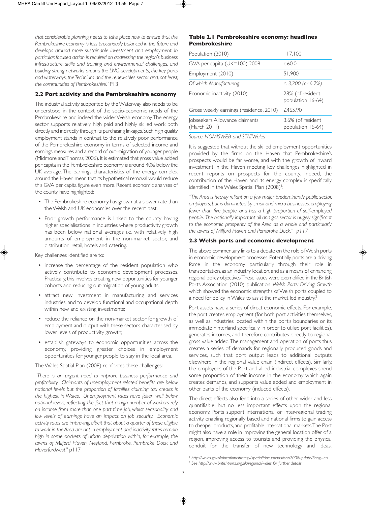*that considerable planning needs to take place now to ensure that the Pembrokeshire economy is less precariously balanced in the future and develops around more sustainable investment and employment. In particular, focused action is required on addressing the region's business infrastructure, skills and training and environmental challenges, and building strong networks around the LNG developments, the key ports and waterways, the Technium and the renewables sector and, not least, the communities of Pembrokeshire*." P.13

### **2.2 Port activity and the Pembrokeshire economy**

The industrial activity supported by the Waterway also needs to be understood in the context of the socio-economic needs of the Pembrokeshire and indeed the wider Welsh economy. The energy sector supports relatively high paid and highly skilled work both directly and indirectly through its purchasing linkages. Such high quality employment stands in contrast to the relatively poor performance of the Pembrokeshire economy in terms of selected income and earnings measures and a record of out-migration of younger people (Midmore and Thomas, 2006). It is estimated that gross value added per capita in the Pembrokeshire economy is around 40% below the UK average. The earnings characteristics of the energy complex around the Haven mean that its hypothetical removal would reduce this GVA per capita figure even more. Recent economic analyses of the county have highlighted:

- The Pembrokeshire economy has grown at a slower rate than the Welsh and UK economies over the recent past.
- Poor growth performance is linked to the county having higher specialisations in industries where productivity growth has been below national averages i.e. with relatively high amounts of employment in the non-market sector, and distribution, retail, hotels and catering.

Key challenges identified are to:

- increase the percentage of the resident population who actively contribute to economic development processes. Practically, this involves creating new opportunities for younger cohorts and reducing out-migration of young adults;
- attract new investment in manufacturing and services industries, and to develop functional and occupational depth within new and existing investments;
- reduce the reliance on the non-market sector for growth of employment and output with these sectors characterised by lower levels of productivity growth;
- establish gateways to economic opportunities across the economy, providing greater choices in employment opportunities for younger people to stay in the local area.

The Wales Spatial Plan (2008) reinforces these challenges:

*"There is an urgent need to improve business performance and profitability. Claimants of unemployment-related benefits are below national levels but the proportion of families claiming tax credits is the highest in Wales. Unemployment rates have fallen well below national levels, reflecting the fact that a high number of workers rely on income from more than one part-time job, whilst seasonality and low levels of earnings have an impact on job security. Economic activity rates are improving, albeit that about a quarter of those eligible to work in the Area are not in employment and inactivity rates remain high in some pockets of urban deprivation within, for example, the towns of Milford Haven, Neyland, Pembroke, Pembroke Dock and Haverfordwest*." p117

## **Table 2.1 Pembrokeshire economy: headlines Pembrokeshire**

| Population (2010)                              | 117,100                                |
|------------------------------------------------|----------------------------------------|
| GVA per capita (UK=100) 2008                   | c.60.0                                 |
| Employment (2010)                              | 51,900                                 |
| Of which Manufacturing                         | c. $3,200$ (or $6.2\%$ )               |
| Economic inactivity (2010)                     | 28% (of resident<br>population 16-64)  |
| Gross weekly earnings (residence, 2010)        | £465.90                                |
| Jobseekers Allowance claimants<br>(March 2011) | 3.6% (of resident<br>population 16-64) |

*Source: NOMISWEB and STATWales*

It is suggested that without the skilled employment opportunities provided by the firms on the Haven that Pembrokeshire's prospects would be far worse, and with the growth of inward investment in the Haven meeting key challenges highlighted in recent reports on prospects for the county. Indeed, the contribution of the Haven and its energy complex is specifically identified in the Wales Spatial Plan (2008)<sup>1</sup>: :

*"The Area is heavily reliant on a few major, predominantly public sector, employers, but is dominated by small and micro businesses, employing fewer than five people, and has a high proportion of self-employed people. The nationally important oil and gas sector is hugely significant to the economic prosperity of the Area as a whole and particularly the towns of Milford Haven and Pembroke Dock." p117*

#### **2.3 Welsh ports and economic development**

The above commentary links to a debate on the role of Welsh ports in economic development processes. Potentially, ports are a driving force in the economy particularly through their role in transportation, as an industry location, and as a means of enhancing regional policy objectives. These issues were exemplified in the British Ports Association (2010) publication *Welsh Ports: Driving Growth* which showed the economic strengths of Welsh ports coupled to a need for policy in Wales to assist the market led industry.<sup>2</sup>

Port assets have a series of direct economic effects. For example, the port creates employment (for both port activities themselves, as well as industries located within the port's boundaries or its immediate hinterland specifically in order to utilise port facilities), generates incomes, and therefore contributes directly to regional gross value added. The management and operation of ports thus creates a series of demands for regionally produced goods and services, such that port output leads to additional outputs elsewhere in the regional value chain (indirect effects). Similarly, the employees of the Port and allied industrial complexes spend some proportion of their income in the economy which again creates demands, and supports value added and employment in other parts of the economy (induced effects).

The direct effects also feed into a series of other wider and less quantifiable, but no less important effects upon the regional economy. Ports support international or inter-regional trading activity, enabling regionally based and national firms to gain access to cheaper products, and profitable international markets. The Port might also have a role in improving the general location offer of a region, improving access to tourists and providing the physical conduit for the transfer of new technology and ideas.

<sup>1</sup> *http://wales.gov.uk/location/strategy/spatial/documents/wsp2008update/?lang=en* <sup>2</sup> *See http://www.britishports.org.uk/regional/wales for further details*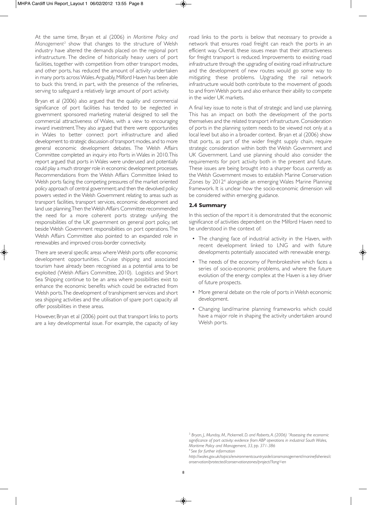At the same time, Bryan et al (2006) in *Maritime Policy and Management3* show that changes to the structure of Welsh industry have altered the demands placed on the regional port infrastructure. The decline of historically heavy users of port facilities, together with competition from other transport modes, and other ports, has reduced the amount of activity undertaken in many ports across Wales. Arguably, Milford Haven has been able to buck this trend, in part, with the presence of the refineries, serving to safeguard a relatively large amount of port activity.

Bryan et al (2006) also argued that the quality and commercial significance of port facilities has tended to be neglected in government sponsored marketing material designed to sell the commercial attractiveness of Wales, with a view to encouraging inward investment. They also argued that there were opportunities in Wales to better connect port infrastructure and allied development to strategic discussion of transport modes, and to more general economic development debates. The Welsh Affairs Committee completed an inquiry into Ports in Wales in 2010. This report argued that ports in Wales were underused and potentially could play a much stronger role in economic development processes. Recommendations from the Welsh Affairs Committee linked to Welsh ports facing the competing pressures of the market oriented policy approach of central government; and then the devolved policy powers vested in the Welsh Government relating to areas such as transport facilities, transport services, economic development and land use planning. Then the Welsh Affairs Committee recommended the need for a more coherent ports strategy unifying the responsibilities of the UK government on general port policy, set beside Welsh Government responsibilities on port operations. The Welsh Affairs Committee also pointed to an expanded role in renewables and improved cross-border connectivity.

There are several specific areas where Welsh ports offer economic development opportunities. Cruise shipping and associated tourism have already been recognised as a potential area to be exploited (Welsh Affairs Committee, 2010). Logistics and Short Sea Shipping continue to be an area where possibilities exist to enhance the economic benefits which could be extracted from Welsh ports. The development of transhipment services and short sea shipping activities and the utilisation of spare port capacity all offer possibilities in these areas.

However, Bryan et al (2006) point out that transport links to ports are a key developmental issue. For example, the capacity of key

road links to the ports is below that necessary to provide a network that ensures road freight can reach the ports in an efficient way. Overall, these issues mean that their attractiveness for freight transport is reduced. Improvements to existing road infrastructure through the upgrading of existing road infrastructure and the development of new routes would go some way to mitigating these problems. Upgrading the rail network infrastructure would both contribute to the movement of goods to and from Welsh ports and also enhance their ability to compete in the wider UK markets.

A final key issue to note is that of strategic and land use planning. This has an impact on both the development of the ports themselves and the related transport infrastructure. Consideration of ports in the planning system needs to be viewed not only at a local level but also in a broader context. Bryan et al (2006) show that ports, as part of the wider freight supply chain, require strategic consideration within both the Welsh Government and UK Government. Land use planning should also consider the requirements for port activity both in the present and future. These issues are being brought into a sharper focus currently as the Welsh Government moves to establish Marine Conservation Zones by 20124 alongside an emerging Wales Marine Planning framework. It is unclear how the socio-economic dimension will be considered within emerging guidance.

### **2.4 Summary**

In this section of the report it is demonstrated that the economic significance of activities dependent on the Milford Haven need to be understood in the context of:

- The changing face of industrial activity in the Haven, with recent development linked to LNG and with future developments potentially associated with renewable energy.
- The needs of the economy of Pembrokeshire which faces a series of socio-economic problems, and where the future evolution of the energy complex at the Haven is a key driver of future prospects.
- More general debate on the role of ports in Welsh economic development.
- Changing land/marine planning frameworks which could have a major role in shaping the activity undertaken around Welsh ports.

<sup>3</sup> *Bryan, J., Munday, M., Pickernell, D. and Roberts, A. (2006) "Assessing the economic significance of port activity: evidence from ABP operations in industrial South Wales, Maritime Policy and Management, 33, pp. 371-386*

<sup>4</sup>*See for further information*

*http://wales.gov.uk/topics/environmentcountryside/consmanagement/marinefisheries/c onservation/protected/conservationzones/project/?lang=en*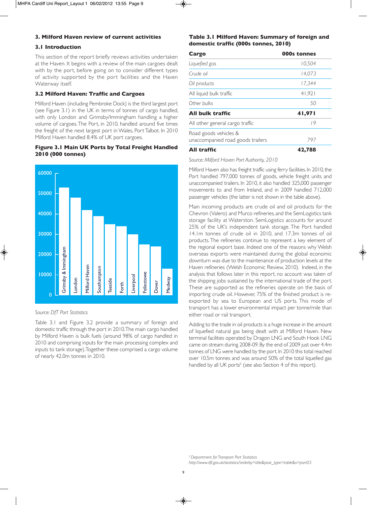## **3. Milford Haven review of current activities**

## **3.1 Introduction**

This section of the report briefly reviews activities undertaken at the Haven. It begins with a review of the main cargoes dealt with by the port, before going on to consider different types of activity supported by the port facilities and the Haven Waterway itself.

## **3.2 Milford Haven: Traffic and Cargoes**

Milford Haven (including Pembroke Dock) is the third largest port (see Figure 3.1) in the UK in terms of tonnes of cargo handled, with only London and Grimsby/Immingham handling a higher volume of cargoes. The Port, in 2010, handled around five times the freight of the next largest port in Wales, Port Talbot. In 2010 Milford Haven handled 8.4% of UK port cargoes.

## **Figure 3.1 Main UK Ports by Total Freight Handled 2010 (000 tonnes)**



#### *Source: DfT Port Statistics*

Table 3.1 and Figure 3.2 provide a summary of foreign and domestic traffic through the port in 2010. The main cargo handled by Milford Haven is bulk fuels (around 98% of cargo handled in 2010 and comprising inputs for the main processing complex and inputs to tank storage). Together these comprised a cargo volume of nearly 42.0m tonnes in 2010.

## **Table 3.1 Milford Haven: Summary of foreign and domestic traffic (000s tonnes, 2010)**

| Cargo                                                      | 000s tonnes |  |  |
|------------------------------------------------------------|-------------|--|--|
| Liquefied gas                                              | 10,504      |  |  |
| Crude oil                                                  | 14.073      |  |  |
| Oil products                                               | 17.344      |  |  |
| All liquid bulk traffic                                    | 41,921      |  |  |
| Other bulks                                                | .50         |  |  |
| All bulk traffic                                           | 41,971      |  |  |
| All other general cargo traffic                            | 19          |  |  |
| Road goods vehicles &<br>unaccompanied road goods trailers | 797         |  |  |
| All traffic                                                | 42,788      |  |  |

*Source: Milford Haven Port Authority, 2010*

Milford Haven also has freight traffic using ferry facilities. In 2010, the Port handled 797,000 tonnes of goods, vehicle freight units and unaccompanied trailers. In 2010, it also handled 325,000 passenger movements to and from Ireland, and in 2009 handled 712,000 passenger vehicles (the latter is not shown in the table above).

Main incoming products are crude oil and oil products for the Chevron (Valero) and Murco refineries, and the SemLogistics tank storage facility at Waterston. SemLogistics accounts for around 25% of the UK's independent tank storage. The Port handled 14.1m tonnes of crude oil in 2010, and 17.3m tonnes of oil products. The refineries continue to represent a key element of the regional export base. Indeed one of the reasons why Welsh overseas exports were maintained during the global economic downturn was due to the maintenance of production levels at the Haven refineries (Welsh Economic Review, 2010). Indeed, in the analysis that follows later in this report, no account was taken of the shipping jobs sustained by the international trade of the port. These are supported as the refineries operate on the basis of importing crude oil. However, 75% of the finished product is reexported by sea to European and US ports. This mode of transport has a lower environmental impact per tonne/mile than either road or rail transport.

Adding to the trade in oil products is a huge increase in the amount of liquefied natural gas being dealt with at Milford Haven. New terminal facilities operated by Dragon LNG and South Hook LNG came on stream during 2008-09. By the end of 2009 just over 4.4m tonnes of LNG were handled by the port. In 2010 this total reached over 10.5m tonnes and was around 50% of the total liquefied gas handled by all UK ports<sup>5</sup> (see also Section 4 of this report).

<sup>5</sup>*Department for Transport Port Statistics http://www.dft.gov.uk/statistics?orderby=title&post\_type=table&s=port03*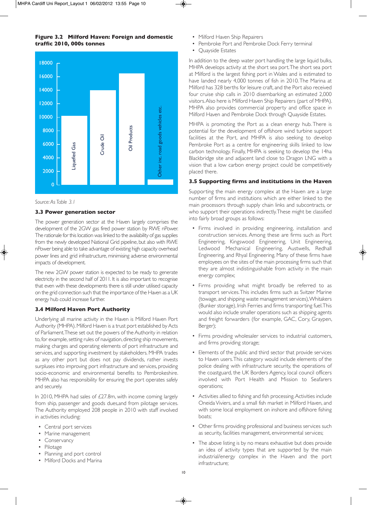## **Figure 3.2 Milford Haven: Foreign and domestic traffic 2010, 000s tonnes**



#### *Source: As Table 3.1*

#### **3.3 Power generation sector**

The power generation sector at the Haven largely comprises the development of the 2GW gas fired power station by RWE nPower. The rationale for this location was linked to the availability of gas supplies from the newly developed National Grid pipeline, but also with RWE nPower being able to take advantage of existing high capacity overhead power lines and grid infrastructure, minimising adverse environmental impacts of development.

The new 2GW power station is expected to be ready to generate electricity in the second half of 2011. It is also important to recognise that even with these developments there is still under utilised capacity on the grid connection such that the importance of the Haven as a UK energy hub could increase further.

### **3.4 Milford Haven Port Authority**

Underlying all marine activity in the Haven is Milford Haven Port Authority (MHPA). Milford Haven is a trust port established by Acts of Parliament. These set out the powers of the Authority in relation to, for example, setting rules of navigation, directing ship movements, making charges and operating elements of port infrastructure and services, and supporting investment by stakeholders. MHPA trades as any other port but does not pay dividends, rather invests surpluses into improving port infrastructure and services, providing socio-economic and environmental benefits to Pembrokeshire. MHPA also has responsibility for ensuring the port operates safely and securely.

In 2010, MHPA had sales of £27.8m, with income coming largely from ship, passenger and goods dues,and from pilotage services. The Authority employed 208 people in 2010 with staff involved in activities including:

- Central port services
- Marine management
- Conservancy
- Pilotage
- Planning and port control
- Milford Docks and Marina
- Milford Haven Ship Repairers
- Pembroke Port and Pembroke Dock Ferry terminal
- Quayside Estates

In addition to the deep water port handling the large liquid bulks, MHPA develops activity at the short sea port. The short sea port at Milford is the largest fishing port in Wales and is estimated to have landed nearly 4,000 tonnes of fish in 2010. The Marina at Milford has 328 berths for leisure craft, and the Port also received four cruise ship calls in 2010 disembarking an estimated 2,000 visitors. Also here is Milford Haven Ship Repairers (part of MHPA). MHPA also provides commercial property and office space in Milford Haven and Pembroke Dock through Quayside Estates.

MHPA is promoting the Port as a clean energy hub. There is potential for the development of offshore wind turbine support facilities at the Port, and MHPA is also seeking to develop Pembroke Port as a centre for engineering skills linked to low carbon technology. Finally, MHPA is seeking to develop the 14ha Blackbridge site and adjacent land close to Dragon LNG with a vision that a low carbon energy project could be competitively placed there.

#### **3.5 Supporting firms and institutions in the Haven**

Supporting the main energy complex at the Haven are a large number of firms and institutions which are either linked to the main processors through supply chain links and subcontracts, or who support their operations indirectly. These might be classified into fairly broad groups as follows:

- Firms involved in providing engineering, installation and construction services. Among these are firms such as Port Engineering, Kingswood Engineering, Unit Engineering, Ledwood Mechanical Engineering, Austwells, Redhall Engineering, and Rhyal Engineering. Many of these firms have employees on the sites of the main processing firms such that they are almost indistinguishable from activity in the main energy complex;
- Firms providing what might broadly be referred to as transport services. This includes firms such as Svitzer Marine (towage, and shipping waste management services), Whitakers (Bunker storage), Irish Ferries and firms transporting fuel. This would also include smaller operations such as shipping agents and freight forwarders (for example, GAC, Cory, Graypen, Berger);
- Firms providing wholesaler services to industrial customers, and firms providing storage;
- Elements of the public and third sector that provide services to Haven users. This category would include elements of the police dealing with infrastructure security, the operations of the coastguard, the UK Borders Agency, local council officers involved with Port Health and Mission to Seafarers operations;
- Activities allied to fishing and fish processing. Activities include Oneida Viviers, and a small fish market in Milford Haven, and with some local employment on inshore and offshore fishing boats;
- Other firms providing professional and business services such as security, facilities management, environmental services;
- The above listing is by no means exhaustive but does provide an idea of activity types that are supported by the main industrial/energy complex in the Haven and the port infrastructure;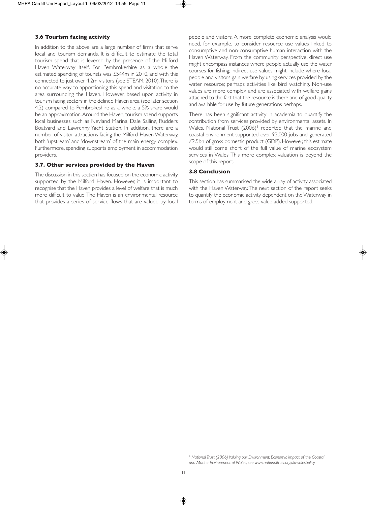## **3.6 Tourism facing activity**

In addition to the above are a large number of firms that serve local and tourism demands. It is difficult to estimate the total tourism spend that is levered by the presence of the Milford Haven Waterway itself. For Pembrokeshire as a whole the estimated spending of tourists was £544m in 2010, and with this connected to just over 4.2m visitors (see STEAM, 2010). There is no accurate way to apportioning this spend and visitation to the area surrounding the Haven. However, based upon activity in tourism facing sectors in the defined Haven area (see later section 4.2) compared to Pembrokeshire as a whole, a 5% share would be an approximation. Around the Haven, tourism spend supports local businesses such as Neyland Marina, Dale Sailing, Rudders Boatyard and Lawrenny Yacht Station. In addition, there are a number of visitor attractions facing the Milford Haven Waterway, both 'upstream' and 'downstream' of the main energy complex. Furthermore, spending supports employment in accommodation providers.

## **3.7. Other services provided by the Haven**

The discussion in this section has focused on the economic activity supported by the Milford Haven. However, it is important to recognise that the Haven provides a level of welfare that is much more difficult to value. The Haven is an environmental resource that provides a series of service flows that are valued by local

people and visitors. A more complete economic analysis would need, for example, to consider resource use values linked to consumptive and non-consumptive human interaction with the Haven Waterway. From the community perspective, direct use might encompass instances where people actually use the water courses for fishing; indirect use values might include where local people and visitors gain welfare by using services provided by the water resource; perhaps activities like bird watching. Non-use values are more complex and are associated with welfare gains attached to the fact that the resource is there and of good quality and available for use by future generations perhaps.

There has been significant activity in academia to quantify the contribution from services provided by environmental assets. In Wales, National Trust (2006)<sup>6</sup> reported that the marine and coastal environment supported over 92,000 jobs and generated £2.5bn of gross domestic product (GDP). However, this estimate would still come short of the full value of marine ecosystem services in Wales. This more complex valuation is beyond the scope of this report.

### **3.8 Conclusion**

This section has summarised the wide array of activity associated with the Haven Waterway. The next section of the report seeks to quantify the economic activity dependent on the Waterway in terms of employment and gross value added supported.

<sup>6</sup> *National Trust (2006) Valuing our Environment: Economic impact of the Coastal and Marine Environment of Wales, see www.nationaltrust.org.uk/walespolicy*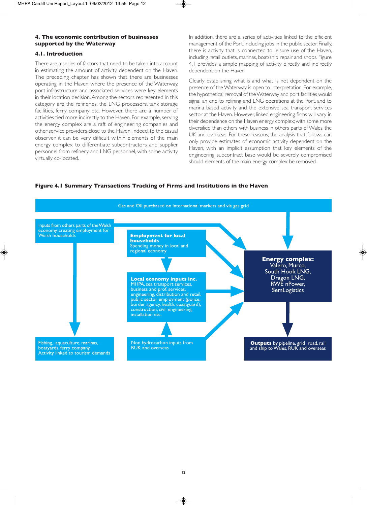## **4. The economic contribution of businesses supported by the Waterway**

## **4.1. Introduction**

There are a series of factors that need to be taken into account in estimating the amount of activity dependent on the Haven. The preceding chapter has shown that there are businesses operating in the Haven where the presence of the Waterway, port infrastructure and associated services were key elements in their location decision. Among the sectors represented in this category are the refineries, the LNG processors, tank storage facilities, ferry company etc. However, there are a number of activities tied more indirectly to the Haven. For example, serving the energy complex are a raft of engineering companies and other service providers close to the Haven. Indeed, to the casual observer it can be very difficult within elements of the main energy complex to differentiate subcontractors and supplier personnel from refinery and LNG personnel, with some activity virtually co-located.

In addition, there are a series of activities linked to the efficient management of the Port, including jobs in the public sector. Finally, there is activity that is connected to leisure use of the Haven, including retail outlets, marinas, boat/ship repair and shops. Figure 4.1 provides a simple mapping of activity directly and indirectly dependent on the Haven.

Clearly establishing what is and what is not dependent on the presence of the Waterway is open to interpretation. For example, the hypothetical removal of the Waterway and port facilities would signal an end to refining and LNG operations at the Port, and to marina based activity and the extensive sea transport services sector at the Haven. However, linked engineering firms will vary in their dependence on the Haven energy complex; with some more diversified than others with business in others parts of Wales, the UK and overseas. For these reasons, the analysis that follows can only provide estimates of economic activity dependent on the Haven, with an implicit assumption that key elements of the engineering subcontract base would be severely compromised should elements of the main energy complex be removed.

## **Figure 4.1 Summary Transactions Tracking of Firms and Institutions in the Haven**

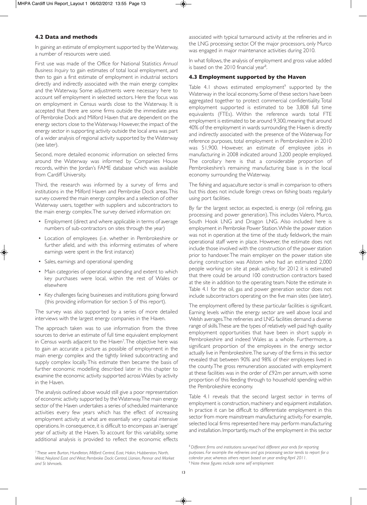## **4.2 Data and methods**

In gaining an estimate of employment supported by the Waterway, a number of resources were used.

First use was made of the Office for National Statistics *Annual Business Inquiry* to gain estimates of total local employment, and then to gain a first estimate of employment in industrial sectors directly and indirectly associated with the main energy complex and the Waterway. Some adjustments were necessary here to account self employment in selected sectors. Here the focus was on employment in Census wards close to the Waterway. It is accepted that there are some firms outside the immediate area of Pembroke Dock and Milford Haven that are dependent on the energy sectors close to the Waterway. However, the impact of the energy sector in supporting activity outside the local area was part of a wider analysis of regional activity supported by the Waterway (see later).

Second, more detailed economic information on selected firms around the Waterway was informed by Companies House records, within the Jordan's FAME database which was available from Cardiff University.

Third, the research was informed by a survey of firms and institutions in the Milford Haven and Pembroke Dock areas. This survey covered the main energy complex and a selection of other Waterway users, together with suppliers and subcontractors to the main energy complex. The survey derived information on:

- Employment (direct and where applicable in terms of average numbers of sub-contractors on sites through the year)
- Location of employees (i.e. whether in Pembrokeshire or further afield, and with this informing estimates of where earnings were spent in the first instance)
- Sales, earnings and operational spending
- Main categories of operational spending and extent to which key purchases were local, within the rest of Wales or elsewhere
- Key challenges facing businesses and institutions going forward (this providing information for section 5 of this report).

The survey was also supported by a series of more detailed interviews with the largest energy companies in the Haven.

The approach taken was to use information from the three sources to derive an estimate of full time equivalent employment in Census wards adjacent to the Haven<sup>7</sup>. The objective here was to gain an accurate a picture as possible of employment in the main energy complex and the tightly linked subcontracting and supply complex locally. This estimate then became the basis of further economic modelling described later in this chapter to examine the economic activity supported across Wales by activity in the Haven.

The analysis outlined above would still give a poor representation of economic activity supported by the Waterway. The main energy sector of the Haven undertakes a series of scheduled maintenance activities every few years which has the effect of increasing employment activity at what are essentially very capital intensive operations. In consequence, it is difficult to encompass an 'average' year of activity at the Haven. To account for this variability, some additional analysis is provided to reflect the economic effects

<sup>7</sup> *These were Burton, Hundleton, Milford: Central, East, Hakin, Hubberston, North, West; Neyland East and West; Pembroke Dock: Central, Llanion, Pennar and Market and St Ishmaels.*

associated with typical turnaround activity at the refineries and in the LNG processing sector. Of the major processors, only Murco was engaged in major maintenance activities during 2010.

In what follows, the analysis of employment and gross value added is based on the 2010 financial year<sup>8</sup>. .

## **4.3 Employment supported by the Haven**

Table 4.1 shows estimated employment<sup>9</sup> supported by the Waterway in the local economy. Some of these sectors have been aggregated together to protect commercial confidentiality. Total employment supported is estimated to be 3,808 full time equivalents (FTEs). Within the reference wards total FTE employment is estimated to be around 9,300, meaning that around 40% of the employment in wards surrounding the Haven is directly and indirectly associated with the presence of the Waterway. For reference purposes, total employment in Pembrokeshire in 2010 was 51,900. However, an estimate of employee jobs in manufacturing in 2008 indicated around 3,200 people employed. The corollary here is that a considerable proportion of Pembrokeshire's remaining manufacturing base is in the local economy surrounding the Waterway.

The fishing and aquaculture sector is small in comparison to others but this does not include foreign crews on fishing boats regularly using port facilities.

By far the largest sector, as expected, is energy (oil refining, gas processing and power generation). This includes Valero, Murco, South Hook LNG and Dragon LNG. Also included here is employment in Pembroke Power Station. While the power station was not in operation at the time of the study fieldwork, the main operational staff were in place. However, the estimate does not include those involved with the construction of the power station prior to handover. The main employer on the power station site during construction was Alstom who had an estimated 2,000 people working on site at peak activity; for 2012 it is estimated that there could be around 100 construction contractors based at the site in addition to the operating team. Note the estimate in Table 4.1 for the oil, gas and power generation sector does not include subcontractors operating on the five main sites (see later).

The employment offered by these particular facilities is significant. Earning levels within the energy sector are well above local and Welsh averages. The refineries and LNG facilities demand a diverse range of skills. These are the types of relatively well paid high quality employment opportunities that have been in short supply in Pembrokeshire and indeed Wales as a whole. Furthermore, a significant proportion of the employees in the energy sector actually live in Pembrokeshire. The survey of the firms in this sector revealed that between 90% and 98% of their employees lived in the county. The gross remuneration associated with employment at these facilities was in the order of £92m per annum, with some proportion of this feeding through to household spending within the Pembrokeshire economy.

Table 4.1 reveals that the second largest sector in terms of employment is construction, machinery and equipment installation. In practice it can be difficult to differentiate employment in this sector from more mainstream manufacturing activity. For example, selected local firms represented here may perform manufacturing and installation. Importantly, much of the employment in this sector

<sup>8</sup>*Different firms and institutions surveyed had different year ends for reporting purposes. For example the refineries and gas processing sector tends to report for a calendar year, whereas others report based on year ending April 2011.* <sup>9</sup>*Note these figures include some self employment*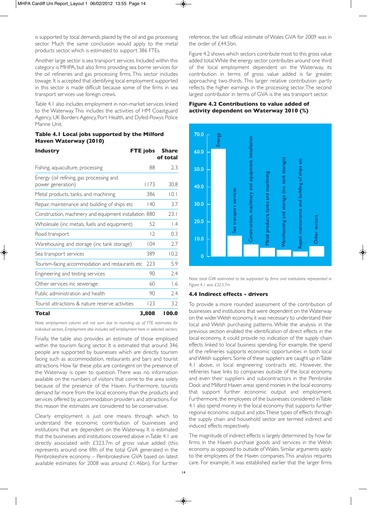is supported by local demands placed by the oil and gas processing sector. Much the same conclusion would apply to the metal products sector, which is estimated to support 386 FTEs.

Another large sector is sea transport services. Included within this category is MHPA, but also firms providing sea borne services for the oil refineries and gas processing firms. This sector includes towage. It is accepted that identifying local employment supported in this sector is made difficult because some of the firms in sea transport services use foreign crews.

Table 4.1 also includes employment in non-market services linked to the Waterway. This includes the activities of HM Coastguard Agency, UK Borders Agency, Port Health, and Dyfed-Powys Police Marine Unit.

### **Table 4.1 Local jobs supported by the Milford Haven Waterway (2010)**

| <b>Industry</b>                                               | FTE jobs    | <b>Share</b><br>of total |
|---------------------------------------------------------------|-------------|--------------------------|
| Fishing, aquaculture, processing                              | 88          | 2.3                      |
| Energy (oil refining, gas processing and<br>power generation) | <b>II73</b> | 30.8                     |
| Metal products, tanks, and machining                          | 386         | 0.1                      |
| Repair, maintenance and building of ships etc                 | 140         | 3.7                      |
| Construction, machinery and equipment installation 880        |             | 23.1                     |
| Wholesale (inc metals, fuels and equipment)                   | 52          | $\overline{1.4}$         |
| Road transport                                                | 7           | 0.3                      |
| Warehousing and storage (inc tank storage)                    | 104         | 2.7                      |
| Sea transport services                                        | 389         | 10.2                     |
| Tourism-facing accommodation and restaurants etc              | 223         | 5.9                      |
| Engineering and testing services                              | 90          | 2.4                      |
| Other services inc sewerage                                   | 60          | 1.6                      |
| Public administration and health                              | 90          | 2.4                      |
| Tourist attractions & nature reserve activities               | 123         | 3.2                      |
| Total                                                         | 3,808       | 100.0                    |

*Note: employment column will not sum due to rounding up of FTE estimates for individual sectors. Employment also includes self employment here in selected sectors.*

Finally, the table also provides an estimate of those employed within the tourism facing sector. It is estimated that around 346 people are supported by businesses which are directly tourism facing such as accommodation, restaurants and bars and tourist attractions. How far these jobs are contingent on the presence of the Waterway is open to question. There was no information available on the numbers of visitors that come to the area solely because of the presence of the Haven. Furthermore, tourists demand far more from the local economy than the products and services offered by accommodation providers and attractions. For this reason the estimates are considered to be conservative.

Clearly employment is just one means through which to understand the economic contribution of businesses and institutions that are dependent on the Waterway. It is estimated that the businesses and institutions covered above in Table 4.1 are directly associated with £323.7m of gross value added (this represents around one fifth of the total GVA generated in the Pembrokeshire economy – Pembrokeshire GVA based on latest available estimates for 2008 was around £1.46bn). For further

reference, the last official estimate of Wales GVA for 2009 was in the order of £44.5bn.

Figure 4.2 shows which sectors contribute most to this gross value added total. While the energy sector contributes around one third of the local employment dependent on the Waterway, its contribution in terms of gross value added is far greater, approaching two-thirds. This larger relative contribution partly reflects the higher earnings in the processing sector. The second largest contributor in terms of GVA is the sea transport sector.

## **Figure 4.2 Contributions to value added of activity dependent on Waterway 2010 (%)**



*Note: total GVA estimated to be supported by firms and institutions represented in Figure 4.1 was £323.7m*

### **4.4 Indirect effects - drivers**

To provide a more rounded assessment of the contribution of businesses and institutions that were dependent on the Waterway on the wider Welsh economy, it was necessary to understand their local and Welsh purchasing patterns. While the analysis in the previous section enabled the identification of direct effects in the local economy, it could provide no indication of the supply chain effects linked to local business spending. For example, the spend of the refineries supports economic opportunities in both local and Welsh suppliers. Some of these suppliers are caught up in Table 4.1 above, in local engineering contracts etc. However, the refineries have links to companies outside of the local economy, and even their suppliers and subcontractors in the Pembroke Dock and Milford Haven areas spend monies in the local economy that support further economic output and employment. Furthermore, the employees of the businesses considered in Table 4.1 also spend money in the local economy that supports further regional economic output and jobs. These types of effects through the supply chain and household sector are termed indirect and induced effects respectively.

The magnitude of indirect effects is largely determined by how far firms in the Haven purchase goods and services in the Welsh economy as opposed to outside of Wales. Similar arguments apply to the employees of the Haven companies. This analysis requires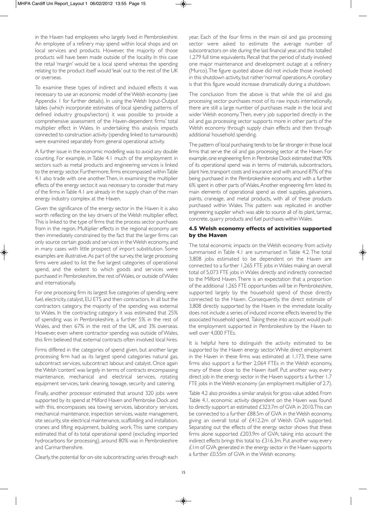in the Haven had employees who largely lived in Pembrokeshire. An employee of a refinery may spend within local shops and on local services and products. However, the majority of those products will have been made outside of the locality. In this case the retail 'margin' would be a local spend whereas the spending relating to the product itself would 'leak' out to the rest of the UK or overseas.

To examine these types of indirect and induced effects it was necessary to use an economic model of the Welsh economy (see Appendix 1 for further details). In using the Welsh Input-Output tables (which incorporate estimates of local spending patterns of defined industry groups/sectors) it was possible to provide a comprehensive assessment of the Haven-dependent firms' total multiplier effect in Wales. In undertaking this analysis impacts connected to construction activity (spending linked to turnarounds) were examined separately from general operational activity.

A further issue in the economic modelling was to avoid any double counting. For example, in Table 4.1 much of the employment in sectors such as metal products and engineering services is linked to the energy sector. Furthermore, firms encompassed within Table 4.1 also trade with one another. Then, in examining the multiplier effects of the energy sector, it was necessary to consider that many of the firms in Table 4.1 are already in the supply chain of the main energy industry complex at the Haven.

Given the significance of the energy sector in the Haven it is also worth reflecting on the key drivers of the Welsh multiplier effect. This is linked to the type of firms that the process sector purchases from in the region. Multiplier effects in the regional economy are then immediately constrained by the fact that the larger firms can only source certain goods and services in the Welsh economy, and in many cases with little prospect of import substitution. Some examples are illustrative. As part of the survey, the large processing firms were asked to list the five largest categories of operational spend, and the extent to which goods and services were purchased in Pembrokeshire, the rest of Wales, or outside of Wales and internationally.

For one processing firm its largest five categories of spending were fuel, electricity, catalyst, EU ETS and then contractors. In all but the contractors category, the majority of the spending was external to Wales. In the contracting category it was estimated that 25% of spending was in Pembrokeshire, a further 5% in the rest of Wales, and then 67% in the rest of the UK, and 3% overseas. However, even where contractor spending was outside of Wales, this firm believed that external contracts often involved local hires.

Firms differed in the categories of spend given, but another large processing firm had as its largest spend categories natural gas, subcontract services, subcontract labour, and catalyst. Once again the Welsh 'content' was largely in terms of contracts encompassing maintenance, mechanical and electrical services, rotating equipment services, tank cleaning, towage, security and catering.

Finally, another processor estimated that around 320 jobs were supported by its spend at Milford Haven and Pembroke Dock and with this, encompasses sea towing services, laboratory services, mechanical maintenance, inspection services, waste management, site security, site electrical maintenance, scaffolding and installation, cranes and lifting equipment, building work. This same company estimated that of its total operational spend (excluding imported hydrocarbons for processing), around 80% was in Pembrokeshire and Carmarthenshire.

Clearly, the potential for on-site subcontracting varies through each

year. Each of the four firms in the main oil and gas processing sector were asked to estimate the average number of subcontractors on site during the last financial year, and this totalled 1,279 full time equivalents. Recall that the period of study involved one major maintenance and development outage at a refinery (Murco). The figure quoted above did not include those involved in this shutdown activity, but rather 'normal' operations. A corollary is that this figure would increase dramatically during a shutdown.

The conclusion from the above is that while the oil and gas processing sector purchases most of its raw inputs internationally, there are still a large number of purchases made in the local and wider Welsh economy. Then, every job supported directly in the oil and gas processing sector supports more in other parts of the Welsh economy through supply chain effects and then through additional household spending.

The pattern of local purchasing tends to be far stronger in those local firms that serve the oil and gas processing sector at the Haven. For example, one engineering firm in Pembroke Dock estimated that 90% of its operational spend was in terms of materials, subcontractors, plant hire, transport costs and insurance and with around 87% of this being purchased in the Pembrokeshire economy, and with a further 6% spent in other parts of Wales. Another engineering firm listed its main elements of operational spend as steel supplies, galvanisers, paints, craneage, and metal products, with all of these products purchased within Wales. This pattern was replicated in another engineering supplier which was able to source all of its plant, tarmac, concrete, quarry products and fuel purchases within Wales.

## **4.5 Welsh economy effects of activities supported by the Haven**

The total economic impacts on the Welsh economy from activity summarised in Table 4.1 are summarised in Table 4.2. The total 3,808 jobs estimated to be dependent on the Haven are connected to a further 1,265 FTE jobs in Wales making an overall total of 5,073 FTE jobs in Wales directly and indirectly connected to the Milford Haven. There is an expectation that a proportion of the additional 1,265 FTE opportunities will be in Pembrokeshire, supported largely by the household spend of those directly connected to the Haven. Consequently, the direct estimate of 3,808 directly supported by the Haven in the immediate locality does not include a series of induced income effects levered by the associated household spend. Taking these into account would push the employment supported in Pembrokeshire by the Haven to well over 4,000 FTEs.

It is helpful here to distinguish the activity estimated to be supported by the Haven energy sector. While direct employment in the Haven in these firms was estimated at 1,173, these same firms also support a further 2,064 FTEs in the Welsh economy, many of these close to the Haven itself. Put another way, every direct job in the energy sector in the Haven supports a further 1.7 FTE jobs in the Welsh economy (an employment multiplier of 2.7).

Table 4.2 also provides a similar analysis for gross value added. From Table 4.1, economic activity dependent on the Haven was found to directly support an estimated £323.7m of GVA in 2010. This can be connected to a further £88.5m of GVA in the Welsh economy, giving an overall total of £412.2m of Welsh GVA supported. Separating out the effects of the energy sector shows that these firms alone supported £203.9m of GVA; taking into account the indirect effects brings this total to £316.3m. Put another way, every £1m of GVA generated in the energy sector in the Haven supports a further £0.55m of GVA in the Welsh economy.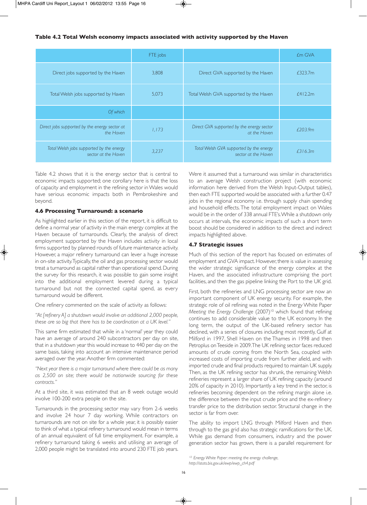## **Table 4.2 Total Welsh economy impacts associated with activity supported by the Haven**

|                                                                 | FTE jobs |                                                                | <b><i>£m</i></b> GVA |
|-----------------------------------------------------------------|----------|----------------------------------------------------------------|----------------------|
| Direct jobs supported by the Haven                              | 3,808    | Direct GVA supported by the Haven                              | £323.7m              |
| Total Welsh jobs supported by Haven                             | 5,073    | Total Welsh GVA supported by the Haven                         | £412.2m              |
| Of which                                                        |          |                                                                |                      |
| Direct jobs supported by the energy sector at<br>the Haven      | 1.173    | Direct GVA supported by the energy sector<br>at the Haven      | f203.9m              |
| Total Welsh jobs supported by the energy<br>sector at the Haven | 3,237    | Total Welsh GVA supported by the energy<br>sector at the Haven | £316.3m              |

Table 4.2 shows that it is the energy sector that is central to economic impacts supported; one corollary here is that the loss of capacity and employment in the refining sector in Wales would have serious economic impacts both in Pembrokeshire and beyond.

## **4.6 Processing Turnaround: a scenario**

As highlighted earlier in this section of the report, it is difficult to define a normal year of activity in the main energy complex at the Haven because of turnarounds. Clearly, the analysis of direct employment supported by the Haven includes activity in local firms supported by planned rounds of future maintenance activity. However, a major refinery turnaround can lever a huge increase in on-site activity. Typically, the oil and gas processing sector would treat a turnaround as capital rather than operational spend. During the survey for this research, it was possible to gain some insight into the additional employment levered during a typical turnaround but not the connected capital spend, as every turnaround would be different.

One refinery commented on the scale of activity as follows:

*"At [refinery A] a shutdown would involve an additional 2,000 people, these are so big that there has to be coordination at a UK level."*

This same firm estimated that while in a 'normal' year they could have an average of around 240 subcontractors per day on site, that in a shutdown year this would increase to 440 per day on the same basis, taking into account an intensive maintenance period averaged over the year. Another firm commented:

*"Next year there is a major turnaround where there could be as many as 2,500 on site; there would be nationwide sourcing for these contracts."*

At a third site, it was estimated that an 8 week outage would involve 100-200 extra people on the site.

Turnarounds in the processing sector may vary from 2-6 weeks and involve 24 hour 7 day working. While contractors on turnarounds are not on site for a whole year, it is possibly easier to think of what a typical refinery turnaround would mean in terms of an annual equivalent of full time employment. For example, a refinery turnaround taking 6 weeks and utilising an average of 2,000 people might be translated into around 230 FTE job years.

Were it assumed that a turnaround was similar in characteristics to an average Welsh construction project (with economic information here derived from the Welsh Input-Output tables), then each FTE supported would be associated with a further 0.47 jobs in the regional economy i.e. through supply chain spending and household effects. The total employment impact on Wales would be in the order of 338 annual FTE's. While a shutdown only occurs at intervals, the economic impacts of such a short term boost should be considered in addition to the direct and indirect impacts highlighted above.

## **4.7 Strategic issues**

Much of this section of the report has focused on estimates of employment and GVA impact. However, there is value in assessing the wider strategic significance of the energy complex at the Haven, and the associated infrastructure comprising the port facilities, and then the gas pipeline linking the Port to the UK grid.

First, both the refineries and LNG processing sector are now an important component of UK energy security. For example, the strategic role of oil refining was noted in the Energy White Paper *Meeting the Energy Challenge* (2007)<sup>10</sup> which found that refining continues to add considerable value to the UK economy. In the long term, the output of the UK-based refinery sector has declined, with a series of closures including most recently, Gulf at Milford in 1997, Shell Haven on the Thames in 1998 and then Petroplus on Teeside in 2009. The UK refining sector faces reduced amounts of crude coming from the North Sea, coupled with increased costs of importing crude from further afield, and with imported crude and final products required to maintain UK supply. Then, as the UK refining sector has shrunk, the remaining Welsh refineries represent a larger share of UK refining capacity (around 20% of capacity in 2010). Importantly a key trend in the sector, is refineries becoming dependent on the refining margin alone i.e. the difference between the input crude price and the ex-refinery transfer price to the distribution sector. Structural change in the sector is far from over.

The ability to import LNG through Milford Haven and then through to the gas grid also has strategic ramifications for the UK. While gas demand from consumers, industry and the power generation sector has grown, there is a parallel requirement for

*<sup>10:</sup> Energy White Paper: meeting the energy challenge, http://stats.bis.gov.uk/ewp/ewp\_ch4.pdf*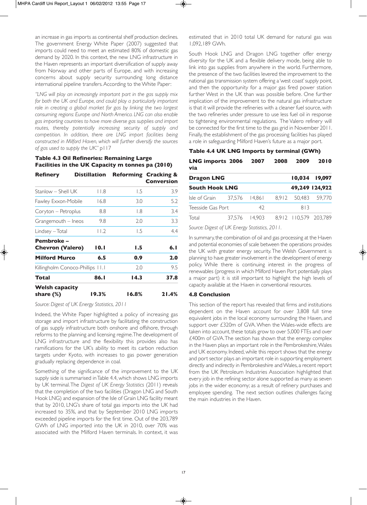an increase in gas imports as continental shelf production declines. The government Energy White Paper (2007) suggested that imports could need to meet an estimated 80% of domestic gas demand by 2020. In this context, the new LNG infrastructure in the Haven represents an important diversification of supply away from Norway and other parts of Europe, and with increasing concerns about supply security surrounding long distance international pipeline transfers. According to the White Paper:

*"LNG will play an increasingly important part in the gas supply mix for both the UK and Europe, and could play a particularly important role in creating a global market for gas by linking the two largest consuming regions: Europe and North America. LNG can also enable gas importing countries to have more diverse gas supplies and import routes, thereby potentially increasing security of supply and competition. In addition, there are LNG import facilities being constructed in Milford Haven, which will further diversify the sources of gas used to supply the UK*." p117

## **Table 4.3 Oil Refineries: Remaining Large Facilities in the UK Capacity m tonnes pa (2010)**

| <b>Refinery</b><br>Stanlow – Shell UK |  | Distillation |       | <b>Reforming Cracking &amp;</b><br><b>Conversion</b><br>3.9 |  |
|---------------------------------------|--|--------------|-------|-------------------------------------------------------------|--|
|                                       |  | I I.8        | 1.5   |                                                             |  |
| Fawley Exxon-Mobile                   |  | 16.8         | 3.0   | 5.2                                                         |  |
| Coryton – Petroplus                   |  | 8.8          | 1.8   | 3.4                                                         |  |
| Grangemouth – Ineos                   |  | 9.8          | 2.0   | 3.3                                                         |  |
| Lindsey - Total                       |  | 11.2         | 1.5   | 4.4                                                         |  |
| Pembroke -                            |  |              |       |                                                             |  |
| <b>Chevron (Valero)</b>               |  | 10. I        | 1.5   | 6. I                                                        |  |
| <b>Milford Murco</b>                  |  | 6.5          | 0.9   | 2.0                                                         |  |
| Killingholm Conoco-Phillips 11.1      |  |              | 2.0   | 95                                                          |  |
| Total                                 |  | 86. I        | 14.3  | 37.8                                                        |  |
| <b>Welsh capacity</b><br>share $(\%)$ |  | 19.3%        | 16.8% | 21.4%                                                       |  |

*Source: Digest of UK Energy Statistics, 2011*

Indeed, the White Paper highlighted a policy of increasing gas storage and import infrastructure by facilitating the construction of gas supply infrastructure both onshore and offshore, through reforms to the planning and licensing regime. The development of LNG infrastructure and the flexibility this provides also has ramifications for the UK's ability to meet its carbon reduction targets under Kyoto, with increases to gas power generation gradually replacing dependence in coal.

Something of the significance of the improvement to the UK supply side is summarised in Table 4.4, which shows LNG imports by UK terminal. The *Digest of UK Energy Statistics* (2011) reveals that the completion of the two facilities (Dragon LNG and South Hook LNG) and expansion of the Isle of Grain LNG facility meant that by 2010, LNG's share of total gas imports into the UK had increased to 35%, and that by September 2010 LNG imports exceeded pipeline imports for the first time. Out of the 203,789 GWh of LNG imported into the UK in 2010, over 70% was associated with the Milford Haven terminals. In context, it was estimated that in 2010 total UK demand for natural gas was 1,092,189 GWh.

South Hook LNG and Dragon LNG together offer energy diversity for the UK and a flexible delivery mode, being able to link into gas supplies from anywhere in the world. Furthermore, the presence of the two facilities levered the improvement to the national gas transmission system offering a 'west coast' supply point, and then the opportunity for a major gas fired power station further West in the UK than was possible before. One further implication of the improvement to the natural gas infrastructure is that it will provide the refineries with a cleaner fuel source, with the two refineries under pressure to use less fuel oil in response to tightening environmental regulations. The Valero refinery will be connected for the first time to the gas grid in November 2011. Finally, the establishment of the gas processing facilities has played a role in safeguarding Milford Haven's future as a major port.

## **Table 4.4 UK LNG Imports by terminal (GWh) LNG imports 2006 2007 2008 2009 2010**

| via                   |  |               |  |     |                       |
|-----------------------|--|---------------|--|-----|-----------------------|
| <b>Dragon LNG</b>     |  |               |  |     | 10,034 19,097         |
| <b>South Hook LNG</b> |  |               |  |     | 49,249 124,922        |
|                       |  |               |  |     | 8.912 50.483 59.770   |
| Teesside Gas Port     |  | 42            |  | 813 |                       |
| Total                 |  | 37.576 14.903 |  |     | 8,912 110,579 203,789 |

*Source: Digest of UK Energy Statistics, 2011.*

In summary, the combination of oil and gas processing at the Haven and potential economies of scale between the operations provides the UK with greater energy security. The Welsh Government is planning to have greater involvement in the development of energy policy. While there is continuing interest in the progress of renewables (progress in which Milford Haven Port potentially plays a major part) it is still important to highlight the high levels of capacity available at the Haven in conventional resources.

## **4.8 Conclusion**

This section of the report has revealed that firms and institutions dependent on the Haven account for over 3,808 full time equivalent jobs in the local economy surrounding the Haven, and support over £320m of GVA. When the Wales-wide effects are taken into account, these totals grow to over 5,000 FTEs and over £400m of GVA. The section has shown that the energy complex in the Haven plays an important role in the Pembrokeshire, Wales and UK economy. Indeed, while this report shows that the energy and port sector plays an important role in supporting employment directly and indirectly in Pembrokeshire and Wales, a recent report from the UK Petroleum Industries Association highlighted that every job in the refining sector alone supported as many as seven jobs in the wider economy; as a result of refinery purchases and employee spending. The next section outlines challenges facing the main industries in the Haven.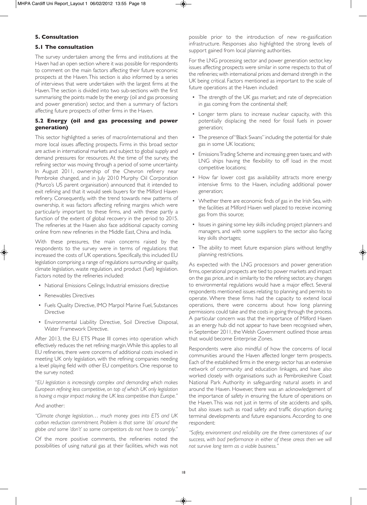## **5. Consultation**

#### **5.1 The consultation**

The survey undertaken among the firms and institutions at the Haven had an open section where it was possible for respondents to comment on the main factors affecting their future economic prospects at the Haven. This section is also informed by a series of interviews that were undertaken with the largest firms at the Haven. The section is divided into two sub-sections with the first summarising the points made by the energy (oil and gas processing and power generation) sector, and then a summary of factors affecting future prospects of other firms in the Haven.

## **5.2 Energy (oil and gas processing and power generation)**

This sector highlighted a series of macro/international and then more local issues affecting prospects. Firms in this broad sector are active in international markets and subject to global supply and demand pressures for resources. At the time of the survey, the refining sector was moving through a period of some uncertainty. In August 2011, ownership of the Chevron refinery near Pembroke changed, and in July 2010 Murphy Oil Corporation (Murco's US parent organisation) announced that it intended to exit refining and that it would seek buyers for the Milford Haven refinery. Consequently, with the trend towards new patterns of ownership, it was factors affecting refining margins which were particularly important to these firms, and with these partly a function of the extent of global recovery in the period to 2015. The refineries at the Haven also face additional capacity coming online from new refineries in the Middle East, China and India.

With these pressures, the main concerns raised by the respondents to the survey were in terms of regulations that increased the costs of UK operations. Specifically, this included EU legislation comprising a range of regulations surrounding air quality, climate legislation, waste regulation, and product (fuel) legislation. Factors noted by the refineries included:

- National Emissions Ceilings; Industrial emissions directive
- Renewables Directives
- Fuels Quality Directive, IMO Marpol Marine Fuel, Substances **Directive**
- Environmental Liability Directive, Soil Directive Disposal, Water Framework Directive.

After 2013, the EU ETS Phase III comes into operation which effectively reduces the net refining margin. While this applies to all EU refineries, there were concerns of additional costs involved in meeting UK only legislation, with the refining companies needing a level playing field with other EU competitors. One response to the survey noted:

"*EU legislation is increasingly complex and demanding which makes European refining less competitive, on top of which UK only legislation is having a major impact making the UK less competitive than Europe."*

#### And another:

*"Climate change legislation… much money goes into ETS and UK carbon reduction commitment. Problem is that some 'do' around the globe and some 'don't' so some competitors do not have to comply."*

Of the more positive comments, the refineries noted the possibilities of using natural gas at their facilities, which was not

possible prior to the introduction of new re-gasification infrastructure. Responses also highlighted the strong levels of support gained from local planning authorities.

For the LNG processing sector and power generation sector, key issues affecting prospects were similar in some respects to that of the refineries; with international prices and demand strength in the UK being critical. Factors mentioned as important to the scale of future operations at the Haven included:

- The strength of the UK gas market; and rate of depreciation in gas coming from the continental shelf;
- Longer term plans to increase nuclear capacity, with this potentially displacing the need for fossil fuels in power generation;
- The presence of "Black Swans" including the potential for shale gas in some UK locations;
- Emissions Trading Scheme and increasing green taxes; and with LNG ships having the flexibility to off load in the most competitive locations;
- How far lower cost gas availability attracts more energy intensive firms to the Haven, including additional power generation;
- Whether there are economic finds of gas in the Irish Sea, with the facilities at Milford Haven well placed to receive incoming gas from this source;
- Issues in gaining some key skills including project planners and managers, and with some suppliers to the sector also facing key skills shortages;
- The ability to meet future expansion plans without lengthy planning restrictions.

As expected with the LNG processors and power generation firms, operational prospects are tied to power markets and impact on the gas price, and in similarity to the refining sector, any changes to environmental regulations would have a major effect. Several respondents mentioned issues relating to planning and permits to operate. Where these firms had the capacity to extend local operations, there were concerns about how long planning permissions could take and the costs in going through the process. A particular concern was that the importance of Milford Haven as an energy hub did not appear to have been recognised when, in September 2011, the Welsh Government outlined those areas that would become Enterprise Zones.

Respondents were also mindful of how the concerns of local communities around the Haven affected longer term prospects. Each of the established firms in the energy sector has an extensive network of community and education linkages, and have also worked closely with organisations such as Pembrokeshire Coast National Park Authority in safeguarding natural assets in and around the Haven. However, there was an acknowledgement of the importance of safety in ensuring the future of operations on the Haven. This was not just in terms of site accidents and spills, but also issues such as road safety and traffic disruption during terminal developments and future expansions. According to one respondent:

*"Safety, environment and reliability are the three cornerstones of our success, with bad performance in either of these areas then we will not survive long term as a viable business."*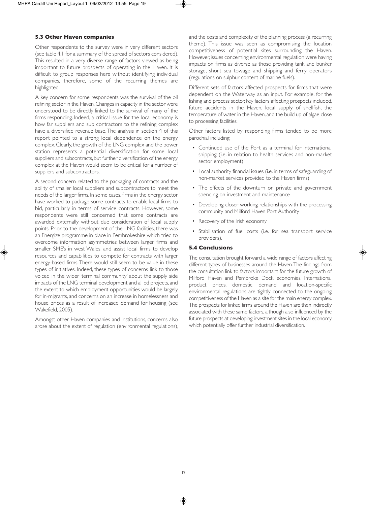## **5.3 Other Haven companies**

Other respondents to the survey were in very different sectors (see table 4.1 for a summary of the spread of sectors considered). This resulted in a very diverse range of factors viewed as being important to future prospects of operating in the Haven. It is difficult to group responses here without identifying individual companies, therefore, some of the recurring themes are highlighted.

A key concern for some respondents was the survival of the oil refining sector in the Haven. Changes in capacity in the sector were understood to be directly linked to the survival of many of the firms responding. Indeed, a critical issue for the local economy is how far suppliers and sub contractors to the refining complex have a diversified revenue base. The analysis in section 4 of this report pointed to a strong local dependence on the energy complex. Clearly, the growth of the LNG complex and the power station represents a potential diversification for some local suppliers and subcontracts, but further diversification of the energy complex at the Haven would seem to be critical for a number of suppliers and subcontractors.

A second concern related to the packaging of contracts and the ability of smaller local suppliers and subcontractors to meet the needs of the larger firms. In some cases, firms in the energy sector have worked to package some contracts to enable local firms to bid, particularly in terms of service contracts. However, some respondents were still concerned that some contracts are awarded externally without due consideration of local supply points. Prior to the development of the LNG facilities, there was an Energize programme in place in Pembrokeshire which tried to overcome information asymmetries between larger firms and smaller SME's in west Wales, and assist local firms to develop resources and capabilities to compete for contracts with larger energy-based firms. There would still seem to be value in these types of initiatives. Indeed, these types of concerns link to those voiced in the wider 'terminal community' about the supply side impacts of the LNG terminal development and allied projects, and the extent to which employment opportunities would be largely for in-migrants, and concerns on an increase in homelessness and house prices as a result of increased demand for housing (see Wakefield, 2005).

Amongst other Haven companies and institutions, concerns also arose about the extent of regulation (environmental regulations), and the costs and complexity of the planning process (a recurring theme). This issue was seen as compromising the location competitiveness of potential sites surrounding the Haven. However, issues concerning environmental regulation were having impacts on firms as diverse as those providing tank and bunker storage, short sea towage and shipping and ferry operators (regulations on sulphur content of marine fuels).

Different sets of factors affected prospects for firms that were dependent on the Waterway as an input. For example, for the fishing and process sector, key factors affecting prospects included, future accidents in the Haven, local supply of shellfish, the temperature of water in the Haven, and the build up of algae close to processing facilities.

Other factors listed by responding firms tended to be more parochial including:

- Continued use of the Port as a terminal for international shipping (i.e. in relation to health services and non-market sector employment)
- Local authority financial issues (i.e. in terms of safeguarding of non-market services provided to the Haven firms)
- The effects of the downturn on private and government spending on investment and maintenance
- Developing closer working relationships with the processing community and Milford Haven Port Authority
- Recovery of the Irish economy
- Stabilisation of fuel costs (i.e. for sea transport service providers).

## **5.4 Conclusions**

The consultation brought forward a wide range of factors affecting different types of businesses around the Haven. The findings from the consultation link to factors important for the future growth of Milford Haven and Pembroke Dock economies. International product prices, domestic demand and location-specific environmental regulations are tightly connected to the ongoing competitiveness of the Haven as a site for the main energy complex. The prospects for linked firms around the Haven are then indirectly associated with these same factors, although also influenced by the future prospects at developing investment sites in the local economy which potentially offer further industrial diversification.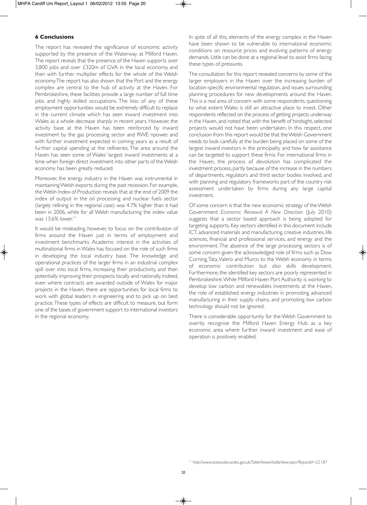## **6 Conclusions**

The report has revealed the significance of economic activity supported by the presence of the Waterway at Milford Haven. The report reveals that the presence of the Haven supports over 3,800 jobs and over £320m of GVA in the local economy, and then with further multiplier effects for the whole of the Welsh economy. The report has also shown that the Port and the energy complex are central to the hub of activity at the Haven. For Pembrokeshire, these facilities provide a large number of full time jobs and highly skilled occupations. The loss of any of these employment opportunities would be extremely difficult to replace in the current climate which has seen inward investment into Wales as a whole decrease sharply in recent years. However, the activity base at the Haven has been reinforced by inward investment by the gas processing sector and RWE npower, and with further investment expected in coming years as a result of further capital spending at the refineries. The area around the Haven has seen some of Wales' largest inward investments at a time when foreign direct investment into other parts of the Welsh economy has been greatly reduced.

Moreover, the energy industry in the Haven was instrumental in maintaining Welsh exports during the past recession. For example, the Welsh Index of Production reveals that at the end of 2009 the index of output in the oil processing and nuclear fuels sector (largely refining in the regional case) was 4.7% higher than it had been in 2006, while for all Welsh manufacturing the index value was  $13.6\%$  lower.<sup>11</sup>

It would be misleading, however, to focus on the contribution of firms around the Haven just in terms of employment and investment benchmarks. Academic interest in the activities of multinational firms in Wales has focused on the role of such firms in developing the local industry base. The knowledge and operational practices of the larger firms in an industrial complex spill over into local firms, increasing their productivity, and then potentially improving their prospects locally and nationally. Indeed, even where contracts are awarded outside of Wales for major projects in the Haven, there are opportunities for local firms to work with global leaders in engineering and to pick up on best practice. These types of effects are difficult to measure, but form one of the bases of government support to international investors in the regional economy.

In spite of all this, elements of the energy complex in the Haven have been shown to be vulnerable to international economic conditions on resource prices and evolving patterns of energy demands. Little can be done at a regional level to assist firms facing these types of pressures.

The consultation for this report revealed concerns by some of the larger employers in the Haven over the increasing burden of location-specific environmental regulation, and issues surrounding planning procedures for new developments around the Haven. This is a real area of concern with some respondents, questioning to what extent Wales is still an attractive place to invest. Other respondents reflected on the process of getting projects underway in the Haven, and noted that with the benefit of hindsight, selected projects would not have been undertaken. In this respect, one conclusion from this report would be that the Welsh Government needs to look carefully at the burden being placed on some of the largest inward investors in the principality and how far assistance can be targeted to support these firms. For international firms in the Haven, the process of devolution has complicated the investment process, partly because of the increase in the numbers of departments, regulators and third sector bodies involved, and with planning and regulatory frameworks part of the country risk assessment undertaken by firms during any large capital investment.

Of some concern is that the new economic strategy of the Welsh Government *Economic Renewal: A New Direction* (July 2010) suggests that a sector based approach is being adopted for targeting supports. Key sectors identified in this document include ICT, advanced materials and manufacturing, creative industries, life sciences, financial and professional services, and energy and the environment. The absence of the large processing sectors is of some concern given the acknowledged role of firms such as Dow Corning, Tata, Valero and Murco to the Welsh economy in terms of economic contribution but also skills development. Furthermore, the identified key sectors are poorly represented in Pembrokeshire. While Milford Haven Port Authority is working to develop low carbon and renewables investments at the Haven, the role of established energy industries in promoting advanced manufacturing in their supply chains, and promoting low carbon technology should not be ignored.

There is considerable opportunity for the Welsh Government to overtly recognise the Milford Haven Energy Hub as a key economic area where further inward investment and ease of operation is positively enabled.

<sup>11</sup> *http://www.statswales.wales.gov.uk/TableViewer/tableView.aspx?ReportId=22187*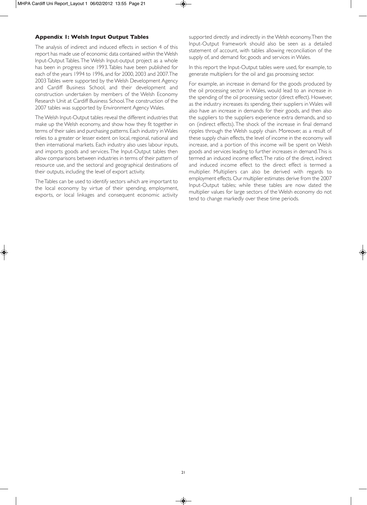## **Appendix 1: Welsh Input Output Tables**

The analysis of indirect and induced effects in section 4 of this report has made use of economic data contained within the Welsh Input-Output Tables. The Welsh Input-output project as a whole has been in progress since 1993. Tables have been published for each of the years 1994 to 1996, and for 2000, 2003 and 2007. The 2003 Tables were supported by the Welsh Development Agency and Cardiff Business School, and their development and construction undertaken by members of the Welsh Economy Research Unit at Cardiff Business School. The construction of the 2007 tables was supported by Environment Agency Wales.

The Welsh Input-Output tables reveal the different industries that make up the Welsh economy, and show how they fit together in terms of their sales and purchasing patterns. Each industry in Wales relies to a greater or lesser extent on local, regional, national and then international markets. Each industry also uses labour inputs, and imports goods and services. The Input-Output tables then allow comparisons between industries in terms of their pattern of resource use, and the sectoral and geographical destinations of their outputs, including the level of export activity.

The Tables can be used to identify sectors which are important to the local economy by virtue of their spending, employment, exports, or local linkages and consequent economic activity supported directly and indirectly in the Welsh economy. Then the Input-Output framework should also be seen as a detailed statement of account, with tables allowing reconciliation of the supply of, and demand for, goods and services in Wales.

In this report the Input-Output tables were used, for example, to generate multipliers for the oil and gas processing sector.

For example, an increase in demand for the goods produced by the oil processing sector in Wales, would lead to an increase in the spending of the oil processing sector (direct effect). However, as the industry increases its spending, their suppliers in Wales will also have an increase in demands for their goods, and then also the suppliers to the suppliers experience extra demands, and so on (indirect effects). The shock of the increase in final demand ripples through the Welsh supply chain. Moreover, as a result of these supply chain effects, the level of income in the economy will increase, and a portion of this income will be spent on Welsh goods and services leading to further increases in demand. This is termed an induced income effect. The ratio of the direct, indirect and induced income effect to the direct effect is termed a multiplier. Multipliers can also be derived with regards to employment effects. Our multiplier estimates derive from the 2007 Input-Output tables; while these tables are now dated the multiplier values for large sectors of the Welsh economy do not tend to change markedly over these time periods.